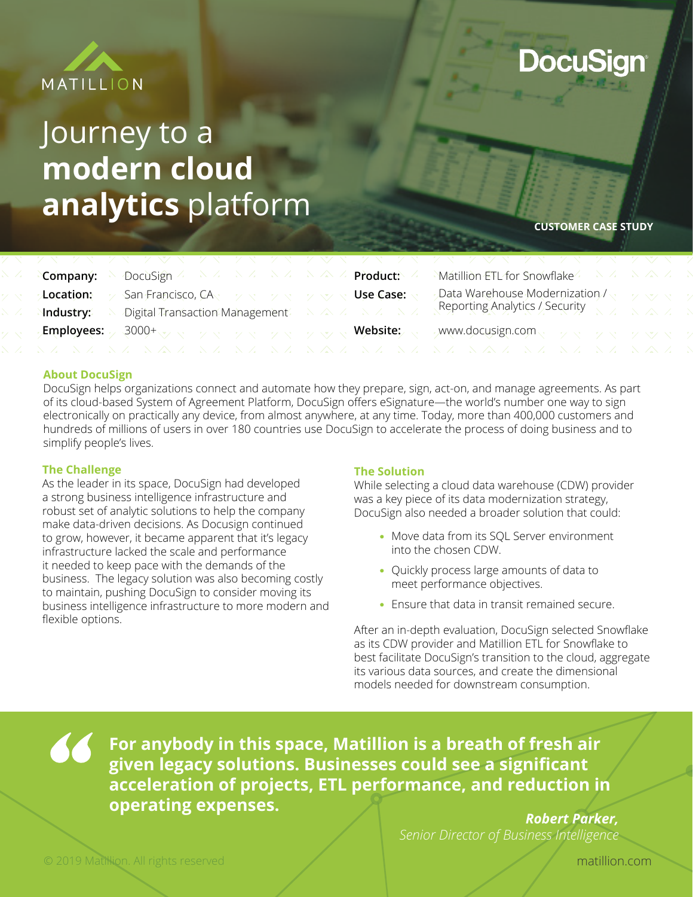

# Journey to a **modern cloud analytics** platform

**DocuSign** 

**CUSTOMER CASE STUDY**

|            |                                                                                     |  | $\mathcal{M}$ atillion ETL for Snowflake $\longrightarrow$ $\mathcal{M}$                                                                                |  |
|------------|-------------------------------------------------------------------------------------|--|---------------------------------------------------------------------------------------------------------------------------------------------------------|--|
| Location:  | San Francisco, CA $\vee$ $\vee$ $\vee$ $\vee$ $\vee$ $\vee$ $\vee$ $\vee$ Use Case: |  | Data Warehouse Modernization / $\sim$ 2008                                                                                                              |  |
| Nndustry:⁄ |                                                                                     |  | Digital Transaction Management $\mathbb{R}^2 \times \mathbb{R}^2 \times \mathbb{R}^2$ Reporting Analytics / Security $\mathbb{R}^2 \times \mathbb{R}^2$ |  |
|            |                                                                                     |  |                                                                                                                                                         |  |
|            |                                                                                     |  |                                                                                                                                                         |  |

### **About DocuSign**

DocuSign helps organizations connect and automate how they prepare, sign, act-on, and manage agreements. As part of its cloud-based System of Agreement Platform, DocuSign offers eSignature—the world's number one way to sign electronically on practically any device, from almost anywhere, at any time. Today, more than 400,000 customers and hundreds of millions of users in over 180 countries use DocuSign to accelerate the process of doing business and to simplify people's lives.

### **The Challenge**

As the leader in its space, DocuSign had developed a strong business intelligence infrastructure and robust set of analytic solutions to help the company make data-driven decisions. As Docusign continued to grow, however, it became apparent that it's legacy infrastructure lacked the scale and performance it needed to keep pace with the demands of the business. The legacy solution was also becoming costly to maintain, pushing DocuSign to consider moving its business intelligence infrastructure to more modern and flexible options.

### **The Solution**

While selecting a cloud data warehouse (CDW) provider was a key piece of its data modernization strategy, DocuSign also needed a broader solution that could:

- Move data from its SQL Server environment into the chosen CDW.
- Ouickly process large amounts of data to meet performance objectives.
- Ensure that data in transit remained secure.

After an in-depth evaluation, DocuSign selected Snowflake as its CDW provider and Matillion ETL for Snowflake to best facilitate DocuSign's transition to the cloud, aggregate its various data sources, and create the dimensional models needed for downstream consumption.

**For anybody in this space, Matillion is a breath of fresh air given legacy solutions. Businesses could see a significant acceleration of projects, ETL performance, and reduction in operating expenses.**

*Robert Parker, Senior Director of Business Intelligence*